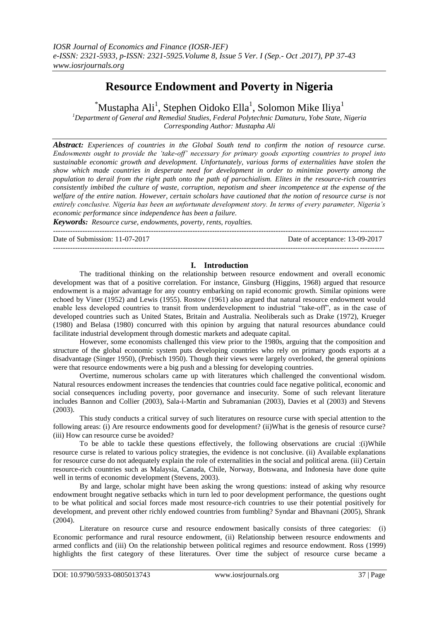# **Resource Endowment and Poverty in Nigeria**

 $^{\ast}$ Mustapha Ali<sup>1</sup>, Stephen Oidoko Ella<sup>1</sup>, Solomon Mike Iliya<sup>1</sup>

*<sup>1</sup>Department of General and Remedial Studies, Federal Polytechnic Damaturu, Yobe State, Nigeria Corresponding Author: Mustapha Ali*

*Abstract: Experiences of countries in the Global South tend to confirm the notion of resource curse. Endowments ought to provide the 'take-off' necessary for primary goods exporting countries to propel into sustainable economic growth and development. Unfortunately, various forms of externalities have stolen the show which made countries in desperate need for development in order to minimize poverty among the population to derail from the right path onto the path of parochialism. Elites in the resource-rich countries consistently imbibed the culture of waste, corruption, nepotism and sheer incompetence at the expense of the welfare of the entire nation. However, certain scholars have cautioned that the notion of resource curse is not entirely conclusive. Nigeria has been an unfortunate development story. In terms of every parameter, Nigeria's economic performance since independence has been a failure.*

*Keywords: Resource curse, endowments, poverty, rents, royalties.*

Date of Submission: 11-07-2017 Date of acceptance: 13-09-2017

## **I. Introduction**

---------------------------------------------------------------------------------------------------------------------------------------

---------------------------------------------------------------------------------------------------------------------------------------

The traditional thinking on the relationship between resource endowment and overall economic development was that of a positive correlation. For instance, Ginsburg (Higgins, 1968) argued that resource endowment is a major advantage for any country embarking on rapid economic growth. Similar opinions were echoed by Viner (1952) and Lewis (1955). Rostow (1961) also argued that natural resource endowment would enable less developed countries to transit from underdevelopment to industrial "take-off", as in the case of developed countries such as United States, Britain and Australia. Neoliberals such as Drake (1972), Krueger (1980) and Belasa (1980) concurred with this opinion by arguing that natural resources abundance could facilitate industrial development through domestic markets and adequate capital.

However, some economists challenged this view prior to the 1980s, arguing that the composition and structure of the global economic system puts developing countries who rely on primary goods exports at a disadvantage (Singer 1950), (Prebisch 1950). Though their views were largely overlooked, the general opinions were that resource endowments were a big push and a blessing for developing countries.

Overtime, numerous scholars came up with literatures which challenged the conventional wisdom. Natural resources endowment increases the tendencies that countries could face negative political, economic and social consequences including poverty, poor governance and insecurity. Some of such relevant literature includes Bannon and Collier (2003), Sala-i-Martin and Subramanian (2003), Davies et al (2003) and Stevens (2003).

This study conducts a critical survey of such literatures on resource curse with special attention to the following areas: (i) Are resource endowments good for development? (ii)What is the genesis of resource curse? (iii) How can resource curse be avoided?

To be able to tackle these questions effectively, the following observations are crucial :(i)While resource curse is related to various policy strategies, the evidence is not conclusive. (ii) Available explanations for resource curse do not adequately explain the role of externalities in the social and political arena. (iii) Certain resource-rich countries such as Malaysia, Canada, Chile, Norway, Botswana, and Indonesia have done quite well in terms of economic development (Stevens, 2003).

By and large, scholar might have been asking the wrong questions: instead of asking why resource endowment brought negative setbacks which in turn led to poor development performance, the questions ought to be what political and social forces made most resource-rich countries to use their potential positively for development, and prevent other richly endowed countries from fumbling? Syndar and Bhavnani (2005), Shrank (2004).

Literature on resource curse and resource endowment basically consists of three categories: (i) Economic performance and rural resource endowment, (ii) Relationship between resource endowments and armed conflicts and (iii) On the relationship between political regimes and resource endowment. Ross (1999) highlights the first category of these literatures. Over time the subject of resource curse became a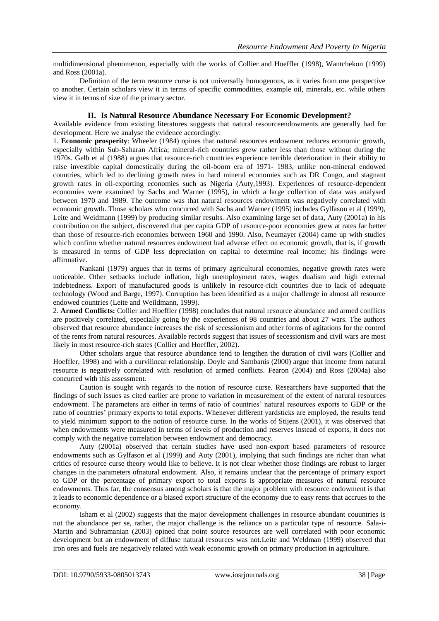multidimensional phenomenon, especially with the works of Collier and Hoeffler (1998), Wantchekon (1999) and Ross (2001a).

Definition of the term resource curse is not universally homogenous, as it varies from one perspective to another. Certain scholars view it in terms of specific commodities, example oil, minerals, etc. while others view it in terms of size of the primary sector.

#### **II. Is Natural Resource Abundance Necessary For Economic Development?**

Available evidence from existing literatures suggests that natural resourceendowments are generally bad for development. Here we analyse the evidence accordingly:

1. **Economic prosperity**: Wheeler (1984) opines that natural resources endowment reduces economic growth, especially within Sub-Saharan Africa; mineral-rich countries grew rather less than those without during the 1970s. Gelb et al (1988) argues that resource-rich countries experience terrible deterioration in their ability to raise investible capital domestically during the oil-boom era of 1971- 1983, unlike non-mineral endowed countries, which led to declining growth rates in hard mineral economies such as DR Congo, and stagnant growth rates in oil-exporting economies such as Nigeria (Auty,1993). Experiences of resource-dependent economies were examined by Sachs and Warner (1995), in which a large collection of data was analysed between 1970 and 1989. The outcome was that natural resources endowment was negatively correlated with economic growth. Those scholars who concurred with Sachs and Warner (1995) includes Gylfason et al (1999), Leite and Weidmann (1999) by producing similar results. Also examining large set of data, Auty (2001a) in his contribution on the subject, discovered that per capita GDP of resource-poor economies grew at rates far better than those of resource-rich economies between 1960 and 1990. Also, Neumayer (2004) came up with studies which confirm whether natural resources endowment had adverse effect on economic growth, that is, if growth is measured in terms of GDP less depreciation on capital to determine real income; his findings were affirmative.

Nankani (1979) argues that in terms of primary agricultural economies, negative growth rates were noticeable. Other setbacks include inflation, high unemployment rates, wages dualism and high external indebtedness. Export of manufactured goods is unlikely in resource-rich countries due to lack of adequate technology (Wood and Barge, 1997). Corruption has been identified as a major challenge in almost all resource endowed countries (Leite and Weildmann, 1999).

2. **Armed Conflicts:** Collier and Hoeffler (1998) concludes that natural resource abundance and armed conflicts are positively correlated, especially going by the experiences of 98 countries and about 27 wars. The authors observed that resource abundance increases the risk of secessionism and other forms of agitations for the control of the rents from natural resources. Available records suggest that issues of secessionism and civil wars are most likely in most resource-rich states (Collier and Hoeffler, 2002).

Other scholars argue that resource abundance tend to lengthen the duration of civil wars (Collier and Hoeffler, 1998) and with a curvilinear relationship. Doyle and Sambanis (2000) argue that income from natural resource is negatively correlated with resolution of armed conflicts. Fearon (2004) and Ross (2004a) also concurred with this assessment.

Caution is sought with regards to the notion of resource curse. Researchers have supported that the findings of such issues as cited earlier are prone to variation in measurement of the extent of natural resources endowment. The parameters are either in terms of ratio of countries' natural resources exports to GDP or the ratio of countries' primary exports to total exports. Whenever different yardsticks are employed, the results tend to yield minimum support to the notion of resource curse. In the works of Stijens (2001), it was observed that when endowments were measured in terms of levels of production and reserves instead of exports, it does not comply with the negative correlation between endowment and democracy.

Auty (2001a) observed that certain studies have used non-export based parameters of resource endowments such as Gylfason et al (1999) and Auty (2001), implying that such findings are richer than what critics of resource curse theory would like to believe. It is not clear whether those findings are robust to larger changes in the parameters ofnatural endowment. Also, it remains unclear that the percentage of primary export to GDP or the percentage of primary export to total exports is appropriate measures of natural resource endowments. Thus far, the consensus among scholars is that the major problem with resource endowment is that it leads to economic dependence or a biased export structure of the economy due to easy rents that accrues to the economy.

Isham et al (2002) suggests that the major development challenges in resource abundant couuntries is not the abundance per se, rather, the major challenge is the reliance on a particular type of resource. Sala-i-Martin and Subramanian (2003) opined that point source resources are well correlated with poor economic development but an endowment of diffuse natural resources was not.Leite and Weldman (1999) observed that iron ores and fuels are negatively related with weak economic growth on primary production in agriculture.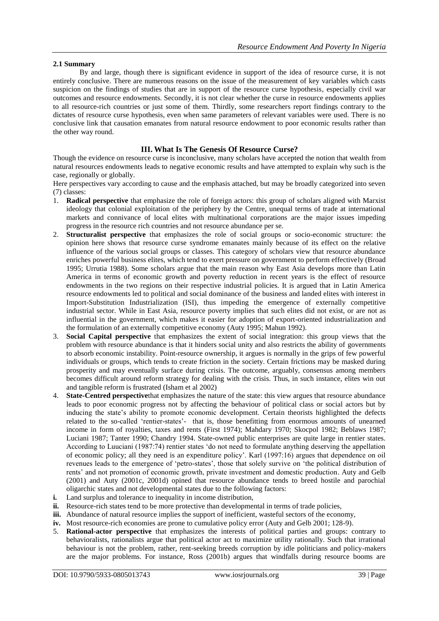## **2.1 Summary**

By and large, though there is significant evidence in support of the idea of resource curse, it is not entirely conclusive. There are numerous reasons on the issue of the measurement of key variables which casts suspicion on the findings of studies that are in support of the resource curse hypothesis, especially civil war outcomes and resource endowments. Secondly, it is not clear whether the curse in resource endowments applies to all resource-rich countries or just some of them. Thirdly, some researchers report findings contrary to the dictates of resource curse hypothesis, even when same parameters of relevant variables were used. There is no conclusive link that causation emanates from natural resource endowment to poor economic results rather than the other way round.

# **III. What Is The Genesis Of Resource Curse?**

Though the evidence on resource curse is inconclusive, many scholars have accepted the notion that wealth from natural resources endowments leads to negative economic results and have attempted to explain why such is the case, regionally or globally.

Here perspectives vary according to cause and the emphasis attached, but may be broadly categorized into seven (7) classes:

- 1. **Radical perspective** that emphasize the role of foreign actors: this group of scholars aligned with Marxist ideology that colonial exploitation of the periphery by the Centre, unequal terms of trade at international markets and connivance of local elites with multinational corporations are the major issues impeding progress in the resource rich countries and not resource abundance per se.
- 2. **Structuralist perspective** that emphasizes the role of social groups or socio-economic structure: the opinion here shows that resource curse syndrome emanates mainly because of its effect on the relative influence of the various social groups or classes. This category of scholars view that resource abundance enriches powerful business elites, which tend to exert pressure on government to perform effectively (Broad 1995; Urrutia 1988). Some scholars argue that the main reason why East Asia develops more than Latin America in terms of economic growth and poverty reduction in recent years is the effect of resource endowments in the two regions on their respective industrial policies. It is argued that in Latin America resource endowments led to political and social dominance of the business and landed elites with interest in Import-Substitution Industrialization (ISI), thus impeding the emergence of externally competitive industrial sector. While in East Asia, resource poverty implies that such elites did not exist, or are not as influential in the government, which makes it easier for adoption of export-oriented industrialization and the formulation of an externally competitive economy (Auty 1995; Mahun 1992).
- 3. **Social Capital perspective** that emphasizes the extent of social integration: this group views that the problem with resource abundance is that it hinders social unity and also restricts the ability of governments to absorb economic instability. Point-resource ownership, it argues is normally in the grips of few powerful individuals or groups, which tends to create friction in the society. Certain frictions may be masked during prosperity and may eventually surface during crisis. The outcome, arguably, consensus among members becomes difficult around reform strategy for dealing with the crisis. Thus, in such instance, elites win out and tangible reform is frustrated (Isham et al 2002)
- 4. **State-Centred perspective**that emphasizes the nature of the state: this view argues that resource abundance leads to poor economic progress not by affecting the behaviour of political class or social actors but by inducing the state's ability to promote economic development. Certain theorists highlighted the defects related to the so-called 'rentier-states'- that is, those benefitting from enormous amounts of unearned income in form of royalties, taxes and rents (First 1974); Mahdary 1970; Skocpol 1982; Beblaws 1987; Luciani 1987; Tanter 1990; Chandry 1994. State-owned public enterprises are quite large in rentier states. According to Luuciani (1987:74) rentier states 'do not need to formulate anything deserving the appellation of economic policy; all they need is an expenditure policy'. Karl (1997:16) argues that dependence on oil revenues leads to the emergence of 'petro-states', those that solely survive on 'the political distribution of rents' and not promotion of economic growth, private investment and domestic production. Auty and Gelb (2001) and Auty (2001c, 2001d) opined that resource abundance tends to breed hostile and parochial oligarchic states and not developmental states due to the following factors:
- **i.** Land surplus and tolerance to inequality in income distribution,
- **ii.** Resource-rich states tend to be more protective than developmental in terms of trade policies,
- iii. Abundance of natural resource implies the support of inefficient, wasteful sectors of the economy,
- **iv.** Most resource-rich economies are prone to cumulative policy error (Auty and Gelb 2001; 128-9).
- 5. **Rational-actor perspective** that emphasizes the interests of political parties and groups: contrary to behavioralists, rationalists argue that political actor act to maximize utility rationally. Such that irrational behaviour is not the problem, rather, rent-seeking breeds corruption by idle politicians and policy-makers are the major problems. For instance, Ross (2001b) argues that windfalls during resource booms are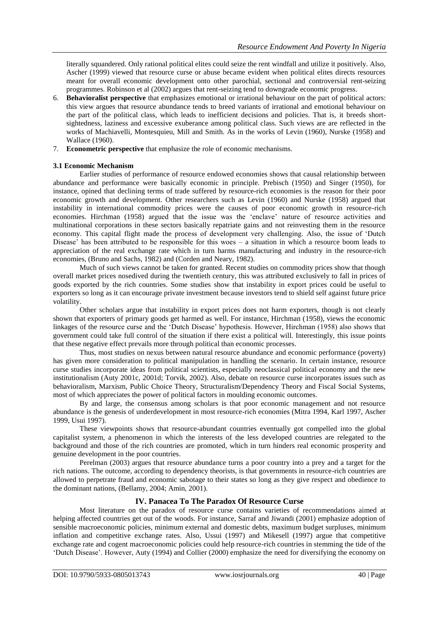literally squandered. Only rational political elites could seize the rent windfall and utilize it positively. Also, Ascher (1999) viewed that resource curse or abuse became evident when political elites directs resources meant for overall economic development onto other parochial, sectional and controversial rent-seizing programmes. Robinson et al (2002) argues that rent-seizing tend to downgrade economic progress.

- 6. **Behavioralist perspective** that emphasizes emotional or irrational behaviour on the part of political actors: this view argues that resource abundance tends to breed variants of irrational and emotional behaviour on the part of the political class, which leads to inefficient decisions and policies. That is, it breeds shortsightedness, laziness and excessive exuberance among political class. Such views are are reflected in the works of Machiavelli, Montesquieu, Mill and Smith. As in the works of Levin (1960), Nurske (1958) and Wallace (1960).
- 7. **Econometric perspective** that emphasize the role of economic mechanisms.

## **3.1 Economic Mechanism**

Earlier studies of performance of resource endowed economies shows that causal relationship between abundance and performance were basically economic in principle. Prebisch (1950) and Singer (1950), for instance, opined that declining terms of trade suffered by resource-rich economies is the reason for their poor economic growth and development. Other researchers such as Levin (1960) and Nurske (1958) argued that instability in international commodity prices were the causes of poor economic growth in resource-rich economies. Hirchman (1958) argued that the issue was the 'enclave' nature of resource activities and multinational corporations in these sectors basically repatriate gains and not reinvesting them in the resource economy. This capital flight made the process of development very challenging. Also, the issue of 'Dutch Disease' has been attributed to be responsible for this woes – a situation in which a resource boom leads to appreciation of the real exchange rate which in turn harms manufacturing and industry in the resource-rich economies, (Bruno and Sachs, 1982) and (Corden and Neary, 1982).

Much of such views cannot be taken for granted. Recent studies on commodity prices show that though overall market prices nosedived during the twentieth century, this was attributed exclusively to fall in prices of goods exported by the rich countries. Some studies show that instability in export prices could be useful to exporters so long as it can encourage private investment because investors tend to shield self against future price volatility.

Other scholars argue that instability in export prices does not harm exporters, though is not clearly shown that exporters of primary goods get harmed as well. For instance, Hirchman (1958), views the economic linkages of the resource curse and the 'Dutch Disease' hypothesis. However, Hirchman (1958) also shows that government could take full control of the situation if there exist a political will. Interestingly, this issue points that these negative effect prevails more through political than economic processes.

Thus, most studies on nexus between natural resource abundance and economic performance (poverty) has given more consideration to political manipulation in handling the scenario. In certain instance, resource curse studies incorporate ideas from political scientists, especially neoclassical political economy and the new institutionalism (Auty 2001c, 2001d; Torvik, 2002). Also, debate on resource curse incorporates issues such as behavioralism, Marxism, Public Choice Theory, Structuralism/Dependency Theory and Fiscal Social Systems, most of which appreciates the power of political factors in moulding economic outcomes.

By and large, the consensus among scholars is that poor economic management and not resource abundance is the genesis of underdevelopment in most resource-rich economies (Mitra 1994, Karl 1997, Ascher 1999, Usui 1997).

These viewpoints shows that resource-abundant countries eventually got compelled into the global capitalist system, a phenomenon in which the interests of the less developed countries are relegated to the background and those of the rich countries are promoted, which in turn hinders real economic prosperity and genuine development in the poor countries.

Perelman (2003) argues that resource abundance turns a poor country into a prey and a target for the rich nations. The outcome, according to dependency theorists, is that governments in resource-rich countries are allowed to perpetrate fraud and economic sabotage to their states so long as they give respect and obedience to the dominant nations, (Bellamy, 2004; Amin, 2001).

# **IV. Panacea To The Paradox Of Resource Curse**

Most literature on the paradox of resource curse contains varieties of recommendations aimed at helping affected countries get out of the woods. For instance, Sarraf and Jiwandi (2001) emphasize adoption of sensible macroeconomic policies, minimum external and domestic debts, maximum budget surpluses, minimum inflation and competitive exchange rates. Also, Ussui (1997) and Mikesell (1997) argue that competitive exchange rate and cogent macroeconomic policies could help resource-rich countries in stemming the tide of the 'Dutch Disease'. However, Auty (1994) and Collier (2000) emphasize the need for diversifying the economy on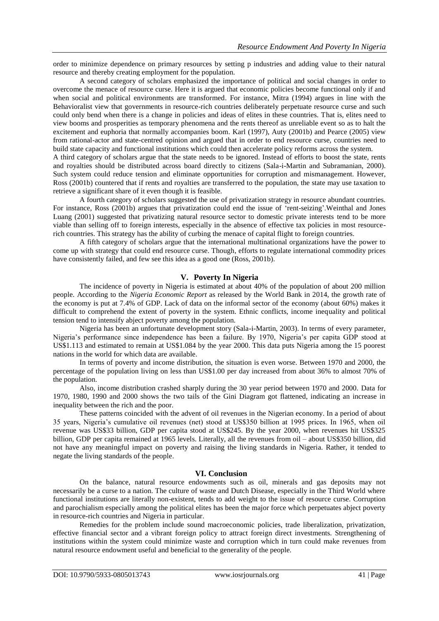order to minimize dependence on primary resources by setting p industries and adding value to their natural resource and thereby creating employment for the population.

A second category of scholars emphasized the importance of political and social changes in order to overcome the menace of resource curse. Here it is argued that economic policies become functional only if and when social and political environments are transformed. For instance, Mitra (1994) argues in line with the Behavioralist view that governments in resource-rich countries deliberately perpetuate resource curse and such could only bend when there is a change in policies and ideas of elites in these countries. That is, elites need to view booms and prosperities as temporary phenomena and the rents thereof as unreliable event so as to halt the excitement and euphoria that normally accompanies boom. Karl (1997), Auty (2001b) and Pearce (2005) view from rational-actor and state-centred opinion and argued that in order to end resource curse, countries need to build state capacity and functional institutions which could then accelerate policy reforms across the system.

A third category of scholars argue that the state needs to be ignored. Instead of efforts to boost the state, rents and royalties should be distributed across board directly to citizens (Sala-i-Martin and Subramanian, 2000). Such system could reduce tension and eliminate opportunities for corruption and mismanagement. However, Ross (2001b) countered that if rents and royalties are transferred to the population, the state may use taxation to retrieve a significant share of it even though it is feasible.

A fourth category of scholars suggested the use of privatization strategy in resource abundant countries. For instance, Ross (2001b) argues that privatization could end the issue of 'rent-seizing'.Weinthal and Jones Luang (2001) suggested that privatizing natural resource sector to domestic private interests tend to be more viable than selling off to foreign interests, especially in the absence of effective tax policies in most resourcerich countries. This strategy has the ability of curbing the menace of capital flight to foreign countries.

A fifth category of scholars argue that the international multinational organizations have the power to come up with strategy that could end resource curse. Though, efforts to regulate international commodity prices have consistently failed, and few see this idea as a good one (Ross, 2001b).

# **V. Poverty In Nigeria**

The incidence of poverty in Nigeria is estimated at about 40% of the population of about 200 million people. According to the *Nigeria Economic Report* as released by the World Bank in 2014, the growth rate of the economy is put at 7.4% of GDP. Lack of data on the informal sector of the economy (about 60%) makes it difficult to comprehend the extent of poverty in the system. Ethnic conflicts, income inequality and political tension tend to intensify abject poverty among the population.

Nigeria has been an unfortunate development story (Sala-i-Martin, 2003). In terms of every parameter, Nigeria's performance since independence has been a failure. By 1970, Nigeria's per capita GDP stood at US\$1.113 and estimated to remain at US\$1.084 by the year 2000. This data puts Nigeria among the 15 poorest nations in the world for which data are available.

In terms of poverty and income distribution, the situation is even worse. Between 1970 and 2000, the percentage of the population living on less than US\$1.00 per day increased from about 36% to almost 70% of the population.

Also, income distribution crashed sharply during the 30 year period between 1970 and 2000. Data for 1970, 1980, 1990 and 2000 shows the two tails of the Gini Diagram got flattened, indicating an increase in inequality between the rich and the poor.

These patterns coincided with the advent of oil revenues in the Nigerian economy. In a period of about 35 years, Nigeria's cumulative oil revenues (net) stood at US\$350 billion at 1995 prices. In 1965, when oil revenue was US\$33 billion, GDP per capita stood at US\$245. By the year 2000, when revenues hit US\$325 billion, GDP per capita remained at 1965 levels. Literally, all the revenues from oil – about US\$350 billion, did not have any meaningful impact on poverty and raising the living standards in Nigeria. Rather, it tended to negate the living standards of the people.

## **VI. Conclusion**

On the balance, natural resource endowments such as oil, minerals and gas deposits may not necessarily be a curse to a nation. The culture of waste and Dutch Disease, especially in the Third World where functional institutions are literally non-existent, tends to add weight to the issue of resource curse. Corruption and parochialism especially among the political elites has been the major force which perpetuates abject poverty in resource-rich countries and Nigeria in particular.

Remedies for the problem include sound macroeconomic policies, trade liberalization, privatization, effective financial sector and a vibrant foreign policy to attract foreign direct investments. Strengthening of institutions within the system could minimize waste and corruption which in turn could make revenues from natural resource endowment useful and beneficial to the generality of the people.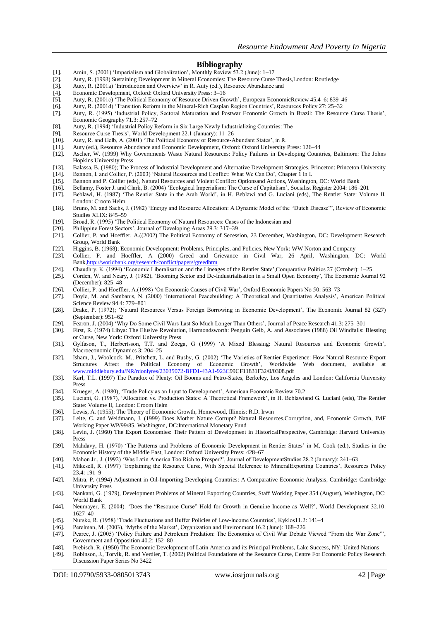#### **Bibliography**

- [1]. Amin, S. (2001) 'Imperialism and Globalization', Monthly Review 53.2 (June): 1–17
- [2]. Auty, R. (1993) Sustaining Development in Mineral Economies: The Resource Curse Thesis,London: Routledge
- [3]. Auty, R. (2001a) 'Introduction and Overview' in R. Auty (ed.), Resource Abundance and
- [4]. Economic Development, Oxford: Oxford University Press: 3–16
- [5]. Auty, R. (2001c) 'The Political Economy of Resource Driven Growth', European EconomicReview 45.4–6: 839–46
- [6]. Auty, R. (2001d) 'Transition Reform in the Mineral-Rich Caspian Region Countries', Resources Policy 27: 25–32
- [7]. Auty, R. (1995) 'Industrial Policy, Sectoral Maturation and Postwar Economic Growth in Brazil: The Resource Curse Thesis', Economic Geography 71.3: 257–72
- [8]. Auty, R. (1994) 'Industrial Policy Reform in Six Large Newly Industrializing Countries: The
- [9]. Resource Curse Thesis', World Development 22.1 (January): 11–26 [10]. Auty, R. and Gelb, A. (2001) 'The Political Economy of Resource-A
- Auty, R. and Gelb, A. (2001) 'The Political Economy of Resource-Abundant States', in R.
- [11]. Auty (ed.), Resource Abundance and Economic Development, Oxford: Oxford University Press: 126–44
- [12]. Ascher, W. (1999) Why Governments Waste Natural Resources: Policy Failures in Developing Countries, Baltimore: The Johns Hopkins University Press
- [13]. Balassa, B. (1980); The Process of Industrial Development and Alternative Development Strategies, Princeton: Princeton University [14]. Bannon, I. and Collier, P. (2003) 'Natural Resources and Conflict: What We Can D [14]. Bannon, I. and Collier, P. (2003) 'Natural Resources and Conflict: What We Can Do', Chapter 1 in I.
- [15]. Bannon and P. Collier (eds), Natural Resources and Violent Conflict: Optionsand Actions, Washington, DC: World Bank
- [16]. Bellamy, Foster J. and Clark, B. (2004) 'Ecological Imperialism: The Curse of Capitalism', Socialist Register 2004: 186–201
- [17]. Beblawi, H. (1987) 'The Rentier State in the Arab World', in H. Beblawi and G. Luciani (eds), The Rentier State: Volume II, London: Croom Helm
- [18]. Bruno, M. and Sachs, J. (1982) 'Energy and Resource Allocation: A Dynamic Model of the "Dutch Disease"', Review of Economic Studies XLIX: 845–59
- [19]. Broad, R. (1995) 'The Political Economy of Natural Resources: Cases of the Indonesian and
- [20]. Philippine Forest Sectors', Journal of Developing Areas 29.3: 317–39
- [21]. Collier, P. and Hoeffler, A.((2002) The Political Economy of Secession, 23 December, Washington, DC: Development Research Group, World Bank
- [22]. Higgins, B. (1968); Economic Development: Problems, Principles, and Policies, New York: WW Norton and Company
- [23]. Collier, P. and Hoeffler, A (2000) Greed and Grievance in Civil War, 26 April, Washington, DC: World Bank[,http://worldbank.org/research/conflict/papers/greedhtm](http://worldbank.org/research/conflict/papers/greedhtm)
- [24]. Chaudhry, K. (1994) 'Economic Liberalisation and the Lineages of the Rentier State',Comparative Politics 27 (October): 1–25
- [25]. Corden, W. and Neary, J. (1982), 'Booming Sector and De-Industrialisation in a Small Open Economy', The Economic Journal 92 (December): 825–48
- [26]. Collier, P. and Hoeffler, A.(1998) 'On Economic Causes of Civil War', Oxford Economic Papers No 50: 563–73
- [27]. Doyle, M. and Sambanis, N. (2000) 'International Peacebuilding: A Theoretical and Quantitative Analysis', American Political Science Review 94.4: 779–801
- [28]. Drake, P. (1972); 'Natural Resources Versus Foreign Borrowing in Economic Development', The Economic Journal 82 (327) (September): 951–62
- [29]. Fearon, J. (2004) 'Why Do Some Civil Wars Last So Much Longer Than Others', Journal of Peace Research 41.3: 275–301
- [30]. First, R. (1974) Libya: The Elusive Revolution, Harmondsworth: Penguin Gelb, A. and Associates (1988) Oil Windfalls: Blessing or Curse, New York: Oxford University Press
- [31]. Gylfason, T., Herbertsson, T.T. and Zoega, G (1999) 'A Mixed Blessing: Natural Resources and Economic Growth', Macroeconomic Dynamics 3: 204–25
- [32]. Isham, J., Woolcock, M., Pritchett, L. and Busby, G. (2002) 'The Varieties of Rentier Experience: How Natural Resource Export Structures Affect the Political Economy of Economic Growth', Worldwide Web document, available [www.middlebury.edu/NR/rdonlyres/23035072-BFD1-43A1-923C9](http://www.middlebury.edu/NR/rdonlyres/23035072-BFD1-43A1-923C)9CF11831F32/0/0308.pdf
- [33]. Karl, T.L. (1997) The Paradox of Plenty: Oil Booms and Petro-States, Berkeley, Los Angeles and London: California University Press
- [34]. Krueger, A. (1980); 'Trade Policy as an Input to Development', American Economic Review 70.2
- [35]. Luciani, G. (1987), 'Allocation vs. Production States: A Theoretical Framework', in H. Beblawiand G. Luciani (eds), The Rentier State: Volume II, London: Croom Helm
- [36]. Lewis, A. (1955); The Theory of Economic Growth, Homewood, Illinois: R.D. Irwin [37]. Leite, C. and Weidmann, J. (1999) Does Mother Nature Corrupt? Natural Resources,Corruption, and, Economic Growth, IMF Working Paper WP/99/85, Washington, DC:International Monetary Fund
- [38]. Levin, J. (1960) The Export Economies: Their Pattern of Development in HistoricalPerspective, Cambridge: Harvard University Press
- [39]. Mahdavy, H. (1970) 'The Patterns and Problems of Economic Development in Rentier States' in M. Cook (ed.), Studies in the Economic History of the Middle East, London: Oxford University Press: 428–67
- 
- [40]. Mahon Jr., J. (1992) 'Was Latin America Too Rich to Prosper?', Journal of DevelopmentStudies 28.2 (January): 241–63 [41]. Mikesell, R. (1997) 'Explaining the Resource Curse, With Special Reference to MineralExporting Countries', Resources Policy 23.4: 191–9
- [42]. Mitra, P. (1994) Adjustment in Oil-Importing Developing Countries: A Comparative Economic Analysis, Cambridge: Cambridge University Press
- [43]. Nankani, G. (1979), Development Problems of Mineral Exporting Countries, Staff Working Paper 354 (August), Washington, DC: World Bank
- [44]. Neumayer, E. (2004). 'Does the "Resource Curse" Hold for Growth in Genuine Income as Well?', World Development 32.10: 1627–40
- [45]. Nurske, R. (1958) 'Trade Fluctuations and Buffer Policies of Low-Income Countries', Kyklos11.2: 141–4
- [46]. Perelman, M. (2003), 'Myths of the Market', Organization and Environment 16.2 (June): 168–226
- [47]. Pearce, J. (2005) 'Policy Failure and Petroleum Predation: The Economics of Civil War Debate Viewed "From the War Zone"', Government and Opposition 40.2: 152–80
- [48]. Prebisch, R. (1950) The Economic Development of Latin America and its Principal Problems, Lake Success, NY: United Nations
- [49]. Robinson, J., Torvik, R. and Verdier, T. (2002) Political Foundations of the Resource Curse, Centre For Economic Policy Research Discussion Paper Series No 3422